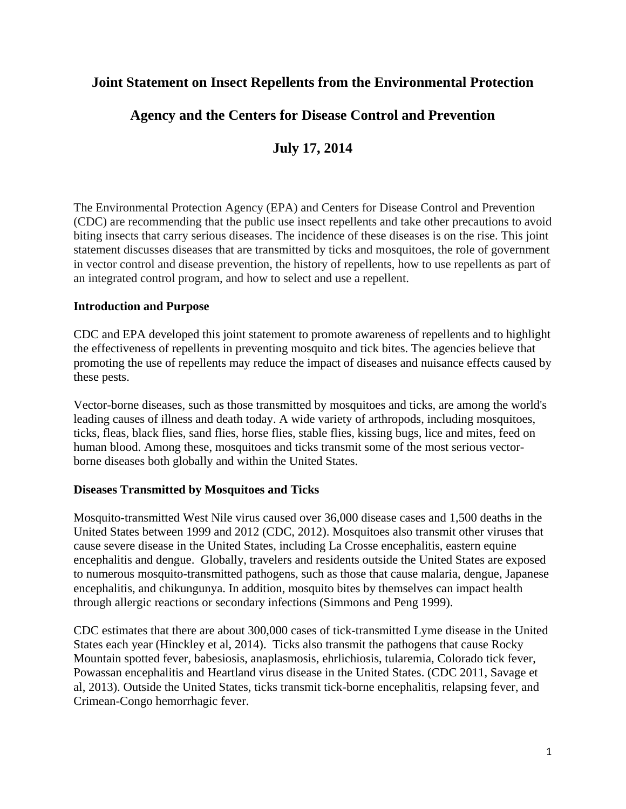## **Joint Statement on Insect Repellents from the Environmental Protection**

# **Agency and the Centers for Disease Control and Prevention**

# **July 17, 2014**

The Environmental Protection Agency (EPA) and Centers for Disease Control and Prevention (CDC) are recommending that the public use insect repellents and take other precautions to avoid biting insects that carry serious diseases. The incidence of these diseases is on the rise. This joint statement discusses diseases that are transmitted by ticks and mosquitoes, the role of government in vector control and disease prevention, the history of repellents, how to use repellents as part of an integrated control program, and how to select and use a repellent.

#### **Introduction and Purpose**

CDC and EPA developed this joint statement to promote awareness of repellents and to highlight the effectiveness of repellents in preventing mosquito and tick bites. The agencies believe that promoting the use of repellents may reduce the impact of diseases and nuisance effects caused by these pests.

Vector-borne diseases, such as those transmitted by mosquitoes and ticks, are among the world's leading causes of illness and death today. A wide variety of arthropods, including mosquitoes, ticks, fleas, black flies, sand flies, horse flies, stable flies, kissing bugs, lice and mites, feed on human blood. Among these, mosquitoes and ticks transmit some of the most serious vectorborne diseases both globally and within the United States.

#### **Diseases Transmitted by Mosquitoes and Ticks**

Mosquito-transmitted West Nile virus caused over 36,000 disease cases and 1,500 deaths in the United States between 1999 and 2012 (CDC, 2012). Mosquitoes also transmit other viruses that cause severe disease in the United States, including La Crosse encephalitis, eastern equine encephalitis and dengue. Globally, travelers and residents outside the United States are exposed to numerous mosquito-transmitted pathogens, such as those that cause malaria, dengue, Japanese encephalitis, and chikungunya. In addition, mosquito bites by themselves can impact health through allergic reactions or secondary infections (Simmons and Peng 1999).

CDC estimates that there are about 300,000 cases of tick-transmitted Lyme disease in the United States each year (Hinckley et al, 2014). Ticks also transmit the pathogens that cause Rocky Mountain spotted fever, babesiosis, anaplasmosis, ehrlichiosis, tularemia, Colorado tick fever, Powassan encephalitis and Heartland virus disease in the United States. (CDC 2011, Savage et al, 2013). Outside the United States, ticks transmit tick-borne encephalitis, relapsing fever, and Crimean-Congo hemorrhagic fever.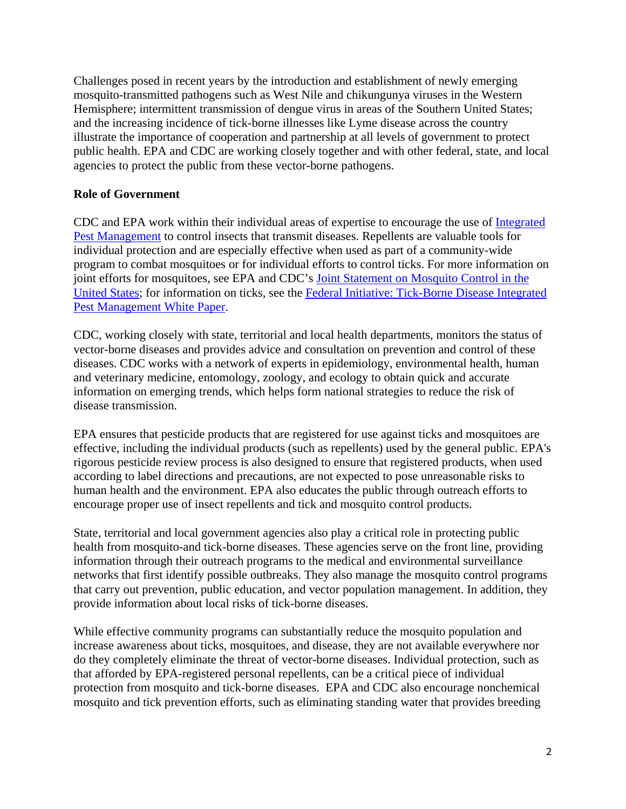Challenges posed in recent years by the introduction and establishment of newly emerging mosquito-transmitted pathogens such as West Nile and chikungunya viruses in the Western Hemisphere; intermittent transmission of dengue virus in areas of the Southern United States; and the increasing incidence of tick-borne illnesses like Lyme disease across the country illustrate the importance of cooperation and partnership at all levels of government to protect public health. EPA and CDC are working closely together and with other federal, state, and local agencies to protect the public from these vector-borne pathogens.

### **Role of Government**

CDC and EPA work within their individual areas of expertise to encourage the use of [Integrated](http://www.epa.gov/pesticides/factsheets/ipm.htm)  [Pest Management](http://www.epa.gov/pesticides/factsheets/ipm.htm) to control insects that transmit diseases. Repellents are valuable tools for individual protection and are especially effective when used as part of a community-wide program to combat mosquitoes or for individual efforts to control ticks. For more information on joint efforts for mosquitoes, see EPA and CDC's [Joint Statement on Mosquito Control in the](http://www2.epa.gov/mosquitocontrol/joint-statement-mosquito-control-united-states)  [United States](http://www2.epa.gov/mosquitocontrol/joint-statement-mosquito-control-united-states); for information on ticks, see the [Federal Initiative: Tick-Borne Disease Integrated](http://www.epa.gov/pestwise/ticks/tick-ipm-whitepaper.pdf)  [Pest Management White Paper.](http://www.epa.gov/pestwise/ticks/tick-ipm-whitepaper.pdf  .)

CDC, working closely with state, territorial and local health departments, monitors the status of vector-borne diseases and provides advice and consultation on prevention and control of these diseases. CDC works with a network of experts in epidemiology, environmental health, human and veterinary medicine, entomology, zoology, and ecology to obtain quick and accurate information on emerging trends, which helps form national strategies to reduce the risk of disease transmission.

EPA ensures that pesticide products that are registered for use against ticks and mosquitoes are effective, including the individual products (such as repellents) used by the general public. EPA's rigorous pesticide review process is also designed to ensure that registered products, when used according to label directions and precautions, are not expected to pose unreasonable risks to human health and the environment. EPA also educates the public through outreach efforts to encourage proper use of insect repellents and tick and mosquito control products.

State, territorial and local government agencies also play a critical role in protecting public health from mosquito-and tick-borne diseases. These agencies serve on the front line, providing information through their outreach programs to the medical and environmental surveillance networks that first identify possible outbreaks. They also manage the mosquito control programs that carry out prevention, public education, and vector population management. In addition, they provide information about local risks of tick-borne diseases.

While effective community programs can substantially reduce the mosquito population and increase awareness about ticks, mosquitoes, and disease, they are not available everywhere nor do they completely eliminate the threat of vector-borne diseases. Individual protection, such as that afforded by EPA-registered personal repellents, can be a critical piece of individual protection from mosquito and tick-borne diseases. EPA and CDC also encourage nonchemical mosquito and tick prevention efforts, such as eliminating standing water that provides breeding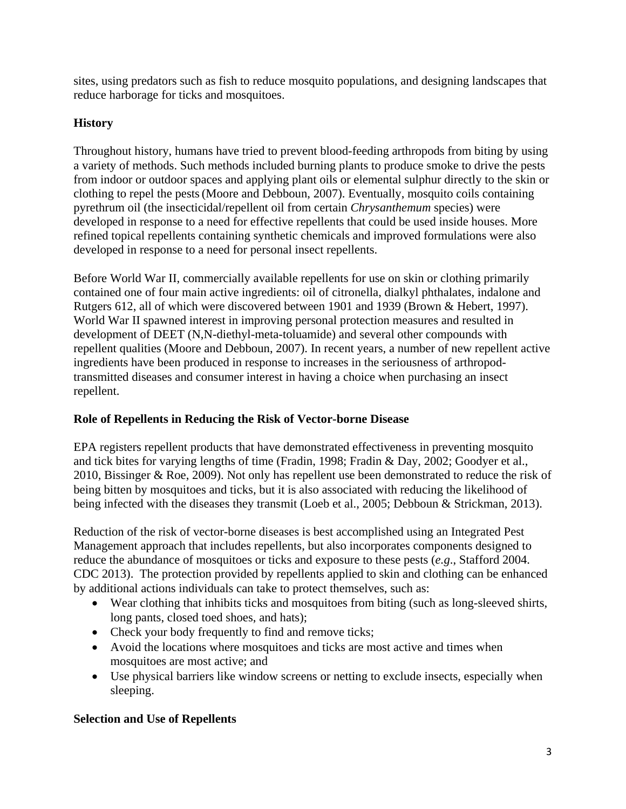sites, using predators such as fish to reduce mosquito populations, and designing landscapes that reduce harborage for ticks and mosquitoes.

## **History**

Throughout history, humans have tried to prevent blood-feeding arthropods from biting by using a variety of methods. Such methods included burning plants to produce smoke to drive the pests from indoor or outdoor spaces and applying plant oils or elemental sulphur directly to the skin or clothing to repel the pests (Moore and Debboun, 2007). Eventually, mosquito coils containing pyrethrum oil (the insecticidal/repellent oil from certain *Chrysanthemum* species) were developed in response to a need for effective repellents that could be used inside houses. More refined topical repellents containing synthetic chemicals and improved formulations were also developed in response to a need for personal insect repellents.

Before World War II, commercially available repellents for use on skin or clothing primarily contained one of four main active ingredients: oil of citronella, dialkyl phthalates, indalone and Rutgers 612, all of which were discovered between 1901 and 1939 (Brown & Hebert, 1997). World War II spawned interest in improving personal protection measures and resulted in development of DEET (N,N-diethyl-meta-toluamide) and several other compounds with repellent qualities (Moore and Debboun, 2007). In recent years, a number of new repellent active ingredients have been produced in response to increases in the seriousness of arthropodtransmitted diseases and consumer interest in having a choice when purchasing an insect repellent.

### **Role of Repellents in Reducing the Risk of Vector-borne Disease**

EPA registers repellent products that have demonstrated effectiveness in preventing mosquito and tick bites for varying lengths of time (Fradin, 1998; Fradin & Day, 2002; Goodyer et al., 2010, Bissinger & Roe, 2009). Not only has repellent use been demonstrated to reduce the risk of being bitten by mosquitoes and ticks, but it is also associated with reducing the likelihood of being infected with the diseases they transmit (Loeb et al., 2005; Debboun & Strickman, 2013).

Reduction of the risk of vector-borne diseases is best accomplished using an Integrated Pest Management approach that includes repellents, but also incorporates components designed to reduce the abundance of mosquitoes or ticks and exposure to these pests (*e.g*., Stafford 2004. CDC 2013). The protection provided by repellents applied to skin and clothing can be enhanced by additional actions individuals can take to protect themselves, such as:

- Wear clothing that inhibits ticks and mosquitoes from biting (such as long-sleeved shirts, long pants, closed toed shoes, and hats);
- Check your body frequently to find and remove ticks;
- Avoid the locations where mosquitoes and ticks are most active and times when mosquitoes are most active; and
- Use physical barriers like window screens or netting to exclude insects, especially when sleeping.

## **Selection and Use of Repellents**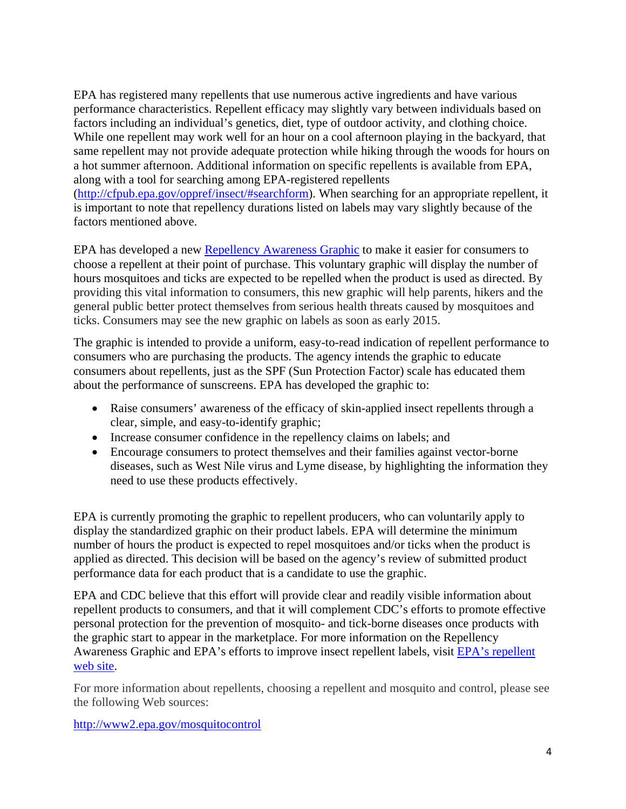EPA has registered many repellents that use numerous active ingredients and have various performance characteristics. Repellent efficacy may slightly vary between individuals based on factors including an individual's genetics, diet, type of outdoor activity, and clothing choice. While one repellent may work well for an hour on a cool afternoon playing in the backyard, that same repellent may not provide adequate protection while hiking through the woods for hours on a hot summer afternoon. Additional information on specific repellents is available from EPA, along with a tool for searching among EPA-registered repellents

(http://cfpub.epa.gov/oppref/insect/#searchform). When searching for an appropriate repellent, it is important to note that repellency durations listed on labels may vary slightly because of the factors mentioned above.

EPA has developed a new [Repellency Awareness Graphic](http://www2.epa.gov/insect-repellents) to make it easier for consumers to choose a repellent at their point of purchase. This voluntary graphic will display the number of hours mosquitoes and ticks are expected to be repelled when the product is used as directed. By providing this vital information to consumers, this new graphic will help parents, hikers and the general public better protect themselves from serious health threats caused by mosquitoes and ticks. Consumers may see the new graphic on labels as soon as early 2015.

The graphic is intended to provide a uniform, easy-to-read indication of repellent performance to consumers who are purchasing the products. The agency intends the graphic to educate consumers about repellents, just as the SPF (Sun Protection Factor) scale has educated them about the performance of sunscreens. EPA has developed the graphic to:

- Raise consumers' awareness of the efficacy of skin-applied insect repellents through a clear, simple, and easy-to-identify graphic;
- Increase consumer confidence in the repellency claims on labels; and
- Encourage consumers to protect themselves and their families against vector-borne diseases, such as West Nile virus and Lyme disease, by highlighting the information they need to use these products effectively.

EPA is currently promoting the graphic to repellent producers, who can voluntarily apply to display the standardized graphic on their product labels. EPA will determine the minimum number of hours the product is expected to repel mosquitoes and/or ticks when the product is applied as directed. This decision will be based on the agency's review of submitted product performance data for each product that is a candidate to use the graphic.

EPA and CDC believe that this effort will provide clear and readily visible information about repellent products to consumers, and that it will complement CDC's efforts to promote effective personal protection for the prevention of mosquito- and tick-borne diseases once products with the graphic start to appear in the marketplace. For more information on the Repellency Awareness Graphic and EPA's efforts to improve insect repellent labels, visit [EPA's repellent](http://www2.epa.gov/insect-repellents)  [web site.](http://www2.epa.gov/insect-repellents)

For more information about repellents, choosing a repellent and mosquito and control, please see the following Web sources:

http://www2.epa.gov/mosquitocontrol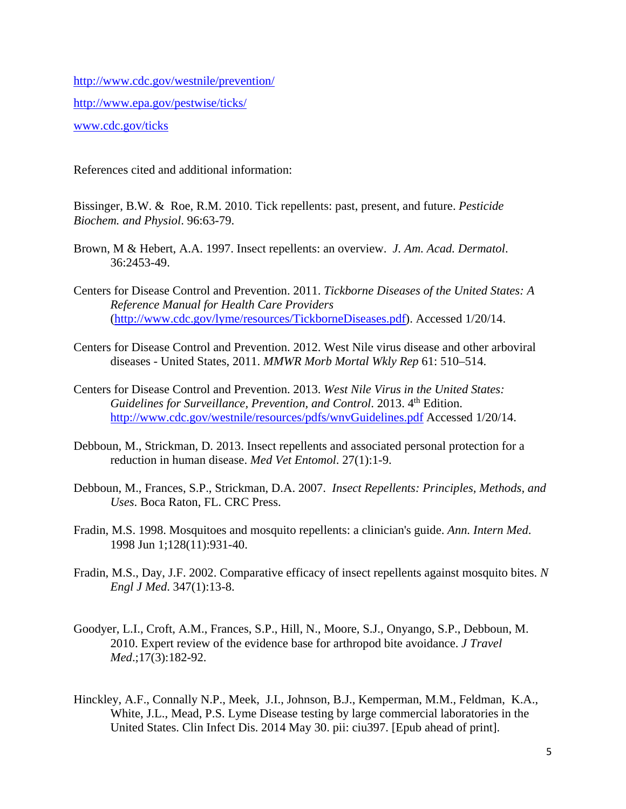http://www.cdc.gov/westnile/prevention/ http://www.epa.gov/pestwise/ticks/ www.cdc.gov/ticks

References cited and additional information:

Bissinger, B.W. & Roe, R.M. 2010. Tick repellents: past, present, and future. *Pesticide Biochem. and Physiol*. 96:63-79.

- Brown, M & Hebert, A.A. 1997. Insect repellents: an overview. *J. Am. Acad. Dermatol*. 36:2453-49.
- Centers for Disease Control and Prevention. 2011. *Tickborne Diseases of the United States: A Reference Manual for Health Care Providers*  (http://www.cdc.gov/lyme/resources/TickborneDiseases.pdf). Accessed 1/20/14.
- Centers for Disease Control and Prevention. 2012. West Nile virus disease and other arboviral diseases - United States, 2011. *MMWR Morb Mortal Wkly Rep* 61: 510–514.
- Centers for Disease Control and Prevention. 2013. *West Nile Virus in the United States: Guidelines for Surveillance, Prevention, and Control.* 2013. 4<sup>th</sup> Edition. http://www.cdc.gov/westnile/resources/pdfs/wnvGuidelines.pdf Accessed 1/20/14.
- Debboun, M., Strickman, D. 2013. Insect repellents and associated personal protection for a reduction in human disease. *Med Vet Entomol*. 27(1):1-9.
- Debboun, M., Frances, S.P., Strickman, D.A. 2007. *Insect Repellents: Principles, Methods, and Uses*. Boca Raton, FL. CRC Press.
- Fradin, M.S. 1998. Mosquitoes and mosquito repellents: a clinician's guide. *Ann. Intern Med*. 1998 Jun 1;128(11):931-40.
- Fradin, M.S., Day, J.F. 2002. Comparative efficacy of insect repellents against mosquito bites. *N Engl J Med*. 347(1):13-8.
- Goodyer, L.I., Croft, A.M., Frances, S.P., Hill, N., Moore, S.J., Onyango, S.P., Debboun, M. 2010. Expert review of the evidence base for arthropod bite avoidance. *J Travel Med*.;17(3):182-92.
- Hinckley, A.F., Connally N.P., Meek, J.I., Johnson, B.J., Kemperman, M.M., Feldman, K.A., White, J.L., Mead, P.S. Lyme Disease testing by large commercial laboratories in the United States. Clin Infect Dis. 2014 May 30. pii: ciu397. [Epub ahead of print].